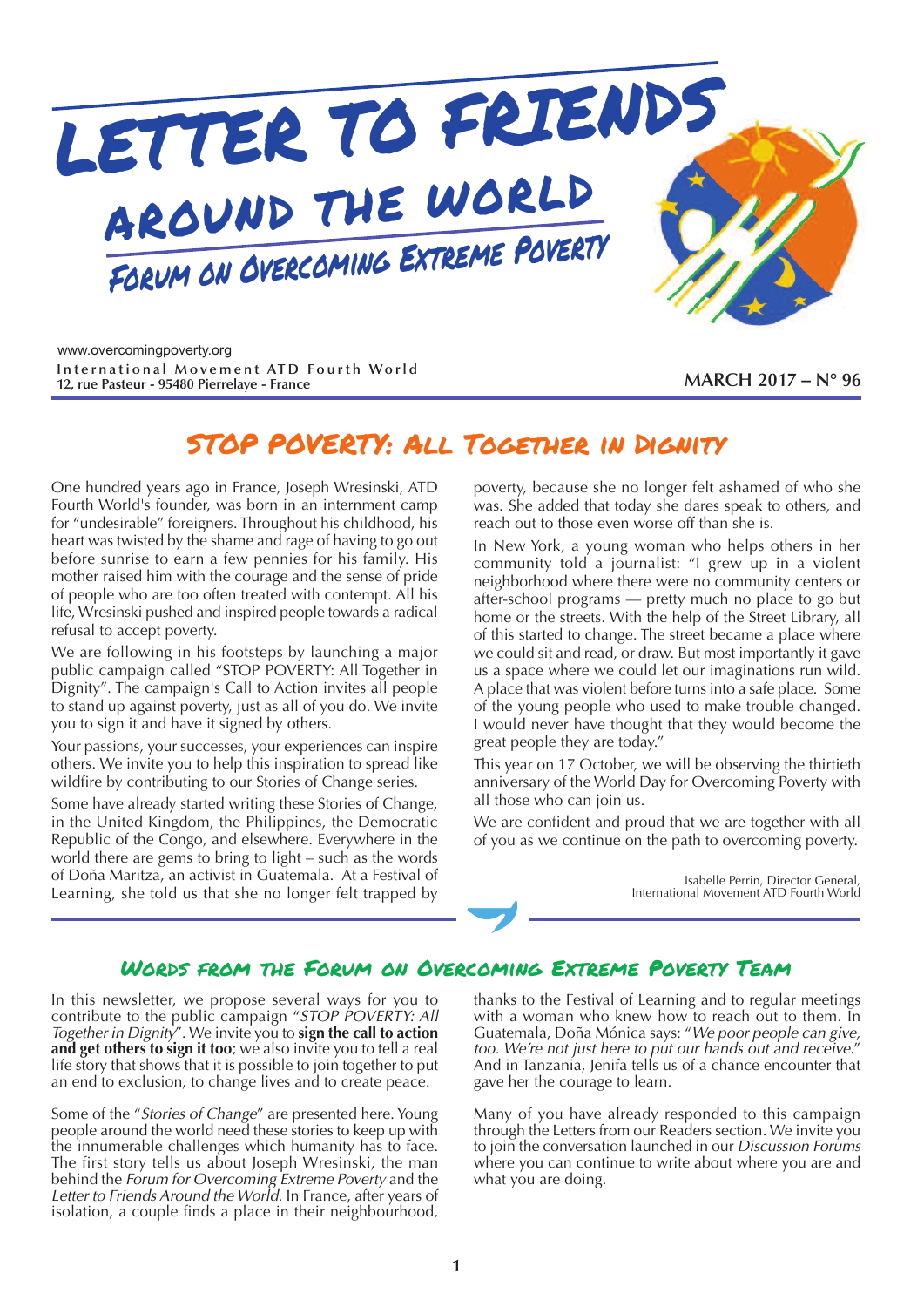

International Movement ATD Fourth World **12, rue Pasteur - <sup>95480</sup> Pierrelaye - France MARCH 2017 – N° 96** [www.overcomingpoverty.org](http://www.overcomingpoverty.org/)

# STOP POVERTY: ALL TOGETHER IN DIGNITY

One hundred years ago in France, Joseph Wresinski, ATD Fourth World's founder, was born in an internment camp for "undesirable" foreigners. Throughout his childhood, his heart was twisted by the shame and rage of having to go out before sunrise to earn a few pennies for his family. His mother raised him with the courage and the sense of pride of people who are too often treated with contempt. All his life, Wresinski pushed and inspired people towards a radical refusal to accept poverty.

We are following in his footsteps by launching a major public campaign called "STOP POVERTY: All Together in Dignity". The campaign's Call to Action invites all people to stand up against poverty, just as all of you do. We invite you to sign it and have it signed by others.

Your passions, your successes, your experiences can inspire others. We invite you to help this inspiration to spread like wildfire by contributing to our Stories of Change series.

Some have already started writing these Stories of Change, in the United Kingdom, the Philippines, the Democratic Republic of the Congo, and elsewhere. Everywhere in the world there are gems to bring to light – such as the words of Doña Maritza, an activist in Guatemala. At a Festival of Learning, she told us that she no longer felt trapped by

poverty, because she no longer felt ashamed of who she was. She added that today she dares speak to others, and reach out to those even worse off than she is.

In New York, a young woman who helps others in her community told a journalist: "I grew up in a violent neighborhood where there were no community centers or after-school programs — pretty much no place to go but home or the streets. With the help of the Street Library, all of this started to change. The street became a place where we could sit and read, or draw. But most importantly it gave us a space where we could let our imaginations run wild. A place that was violent before turns into a safe place. Some of the young people who used to make trouble changed. I would never have thought that they would become the great people they are today."

This year on 17 October, we will be observing the thirtieth anniversary of the World Day for Overcoming Poverty with all those who can join us.

We are confident and proud that we are together with all of you as we continue on the path to overcoming poverty.

> Isabelle Perrin, Director General, International Movement ATD Fourth World

## Words from the Forum on Overcoming Extreme Poverty Team

In this newsletter, we propose several ways for you to contribute to the public campaign "*STOP POVERTY: All Together in Dignity*". We invite you to **sign the call to action and get others to sign it too**; we also invite you to tell a real life story that shows that it is possible to join together to put an end to exclusion, to change lives and to create peace.

Some of the "*Stories of Change*" are presented here. Young people around the world need these stories to keep up with the innumerable challenges which humanity has to face. The first story tells us about Joseph Wresinski, the man behind the *Forum for Overcoming Extreme Poverty* and the *Letter to Friends Around the World*. In France, after years of isolation, a couple finds a place in their neighbourhood,

thanks to the Festival of Learning and to regular meetings with a woman who knew how to reach out to them. In Guatemala, Doña Mónica says: "*We poor people can give, too. We're not just here to put our hands out and receive*." And in Tanzania, Jenifa tells us of a chance encounter that gave her the courage to learn.

Many of you have already responded to this campaign through the Letters from our Readers section. We invite you to join the conversation launched in our *Discussion Forums* where you can continue to write about where you are and what you are doing.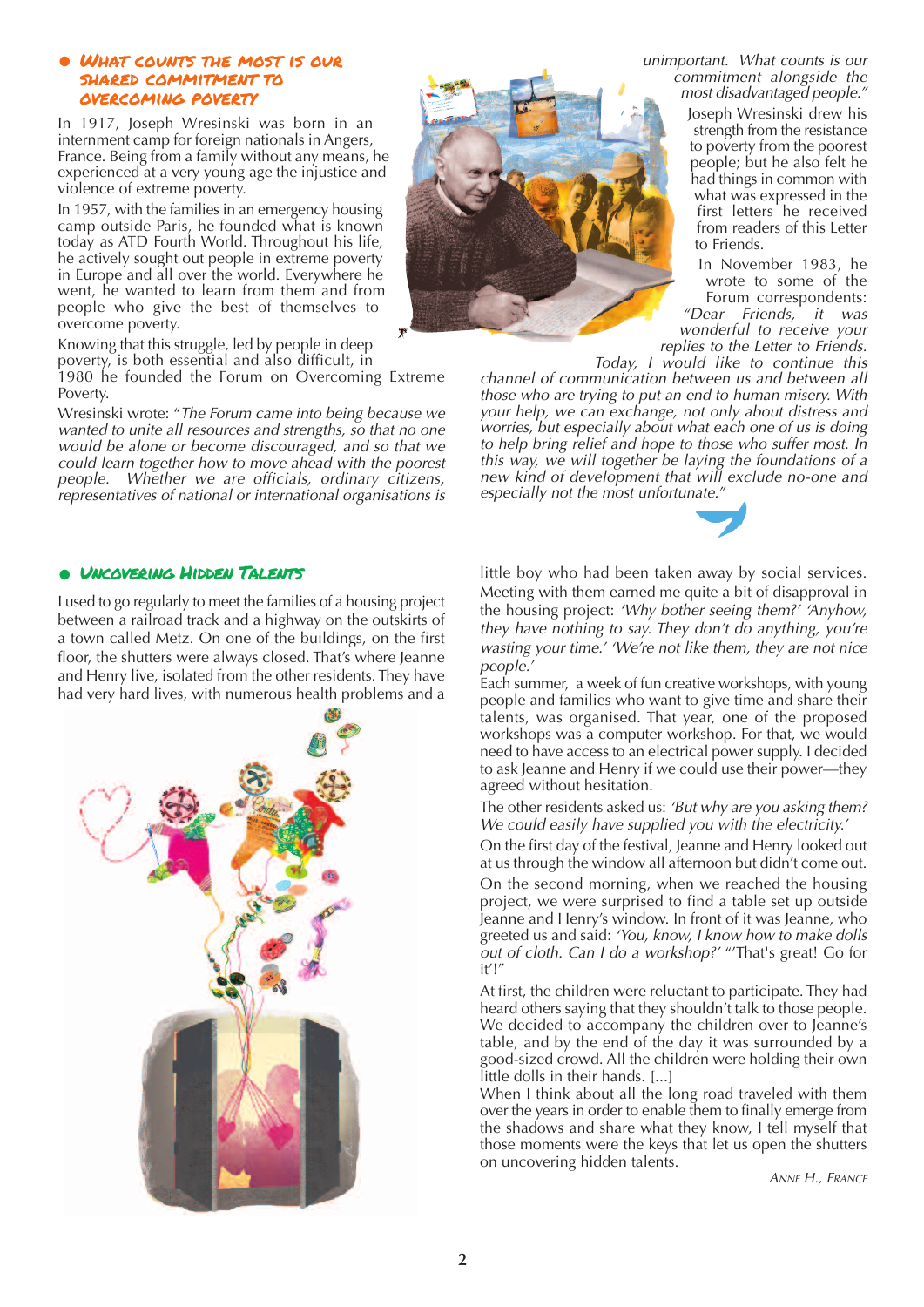### **•** What counts the most is our shared commitment to overcoming poverty

In 1917, Joseph Wresinski was born in an internment camp for foreign nationals in Angers, France. Being from a family without any means, he experienced at a very young age the injustice and violence of extreme poverty.

In 1957, with the families in an emergency housing camp outside Paris, he founded what is known today as ATD Fourth World. Throughout his life, he actively sought out people in extreme poverty in Europe and all over the world. Everywhere he went, he wanted to learn from them and from people who give the best of themselves to overcome poverty.

Knowing that this struggle, led by people in deep poverty, is both essential and also difficult, in

1980 he founded the Forum on Overcoming Extreme Poverty.

Wresinski wrote: "*The Forum came into being because we wanted to unite all resources and strengths, so that no one would be alone or become discouraged, and so that we could learn together how to move ahead with the poorest people. Whether we are officials, ordinary citizens, representatives of national or international organisations is*

## **•** Uncovering Hidden Talents

I used to go regularly to meet the families of a housing project between a railroad track and a highway on the outskirts of a town called Metz. On one of the buildings, on the first floor, the shutters were always closed. That's where Jeanne and Henry live, isolated from the other residents. They have had very hard lives, with numerous health problems and a





### *unimportant. What counts is our commitment alongside the most disadvantaged people."*

Joseph Wresinski drew his strength from the resistance to poverty from the poorest people; but he also felt he had things in common with what was expressed in the first letters he received from readers of this Letter to Friends.

In November 1983, he wrote to some of the Forum correspondents:<br>ear Friends, it was *"Dear Friends, it was wonderful to receive your*

*replies to the Letter to Friends.*

*Today, I would like to continue this channel of communication between us and between all those who are trying to put an end to human misery. With your help, we can exchange, not only about distress and worries, but especially about what each one of us is doing to help bring relief and hope to those who suffer most. In this way, we will together be laying the foundations of a new kind of development that will exclude no-one and especially not the most unfortunate."*



little boy who had been taken away by social services. Meeting with them earned me quite a bit of disapproval in the housing project: *'Why bother seeing them?' 'Anyhow, they have nothing to say. They don't do anything, you're wasting your time.' 'We're not like them, they are not nice people.'*

Each summer, a week of fun creative workshops, with young people and families who want to give time and share their talents, was organised. That year, one of the proposed workshops was a computer workshop. For that, we would need to have access to an electrical power supply. I decided to ask Jeanne and Henry if we could use their power—they agreed without hesitation.

The other residents asked us: *'But why are you asking them? We could easily have supplied you with the electricity.'*

On the first day of the festival, Jeanne and Henry looked out at us through the window all afternoon but didn't come out.

On the second morning, when we reached the housing project, we were surprised to find a table set up outside Jeanne and Henry's window. In front of it was Jeanne, who greeted us and said: *'You, know, I know how to make dolls out of cloth. Can I do a workshop?'* "'That's great! Go for it'!"

At first, the children were reluctant to participate. They had heard others saying that they shouldn't talk to those people. We decided to accompany the children over to Jeanne's table, and by the end of the day it was surrounded by a good-sized crowd. All the children were holding their own little dolls in their hands. [...]

When I think about all the long road traveled with them over the years in order to enable them to finally emerge from the shadows and share what they know, I tell myself that those moments were the keys that let us open the shutters on uncovering hidden talents.

*ANNE H., FRANCE*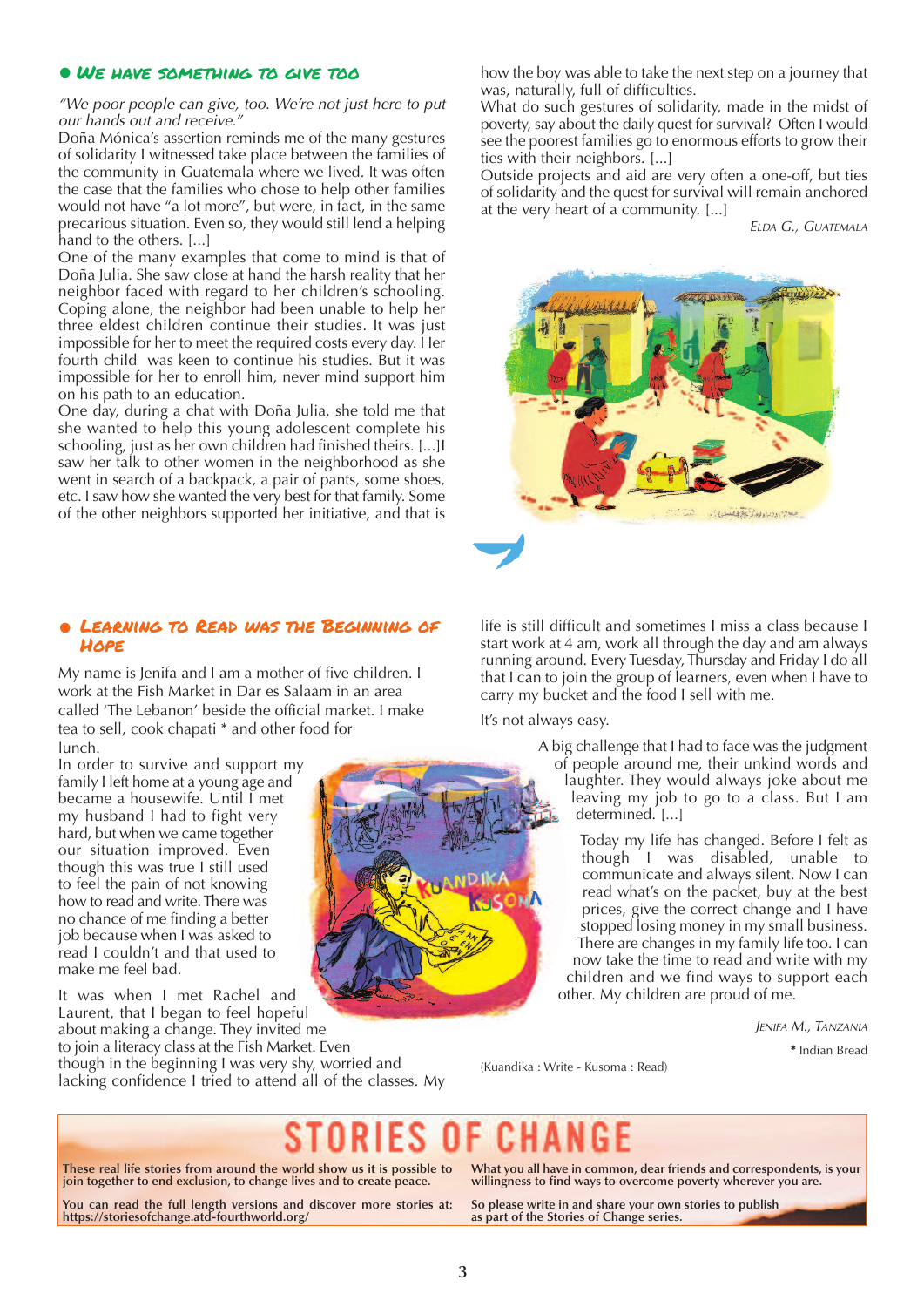### **•** We have something to give too

*"We poor people can give, too. We're not just here to put our hands out and receive."*

Doña Mónica's assertion reminds me of the many gestures of solidarity I witnessed take place between the families of the community in Guatemala where we lived. It was often the case that the families who chose to help other families would not have "a lot more", but were, in fact, in the same precarious situation. Even so, they would still lend a helping hand to the others. [...]

One of the many examples that come to mind is that of Doña Julia. She saw close at hand the harsh reality that her neighbor faced with regard to her children's schooling. Coping alone, the neighbor had been unable to help her three eldest children continue their studies. It was just impossible for her to meet the required costs every day. Her fourth child was keen to continue his studies. But it was impossible for her to enroll him, never mind support him on his path to an education.

One day, during a chat with Doña Julia, she told me that she wanted to help this young adolescent complete his schooling, just as her own children had finished theirs. [...]I saw her talk to other women in the neighborhood as she went in search of a backpack, a pair of pants, some shoes, etc. I saw how she wanted the very best for that family. Some of the other neighbors supported her initiative, and that is

### **•** Learning to Read was the Beginning of **HAPE**

My name is Jenifa and I am a mother of five children. I work at the Fish Market in Dar es Salaam in an area called 'The Lebanon' beside the official market. I make tea to sell, cook chapati **\*** and other food for lunch.

In order to survive and support my family I left home at a young age and became a housewife. Until I met my husband I had to fight very hard, but when we came together our situation improved. Even though this was true I still used to feel the pain of not knowing how to read and write.There was no chance of me finding a better job because when I was asked to read I couldn't and that used to make me feel bad.

It was when I met Rachel and Laurent, that I began to feel hopeful about making a change. They invited me to join a literacy class at the Fish Market. Even though in the beginning I was very shy, worried and lacking confidence I tried to attend all of the classes. My how the boy was able to take the next step on a journey that was, naturally, full of difficulties.

What do such gestures of solidarity, made in the midst of poverty, say about the daily quest for survival? Often I would see the poorest families go to enormous efforts to grow their ties with their neighbors. [...]

Outside projects and aid are very often a one-off, but ties of solidarity and the quest for survival will remain anchored at the very heart of a community. [...]

*ELDA G., GUATEMALA*



life is still difficult and sometimes I miss a class because I start work at 4 am, work all through the day and am always running around. Every Tuesday, Thursday and Friday I do all that I can to join the group of learners, even when I have to carry my bucket and the food I sell with me.

It's not always easy.

A big challenge that I had to face was the judgment of people around me, their unkind words and laughter. They would always joke about me leaving my job to go to a class. But I am determined. [...]

Today my life has changed. Before I felt as though I was disabled, unable to communicate and always silent. Now I can read what's on the packet, buy at the best prices, give the correct change and I have stopped losing money in my small business. There are changes in my family life too. I can now take the time to read and write with my children and we find ways to support each other. My children are proud of me.

*JENIFA M., TANZANIA*

**\*** Indian Bread

(Kuandika : Write - Kusoma : Read)

**These real life stories from around the world show us it is possible to join together to end exclusion, to change lives and to create peace.**

**You can read the full length versions and discover more stories at: https://storiesofchange.atd-fourthworld.org/**

**What you all have in common, dear friends and correspondents, is your willingness to find ways to overcome poverty wherever you are.**

**So please write in and share your own stories to publish as part of the Stories of Change series.**